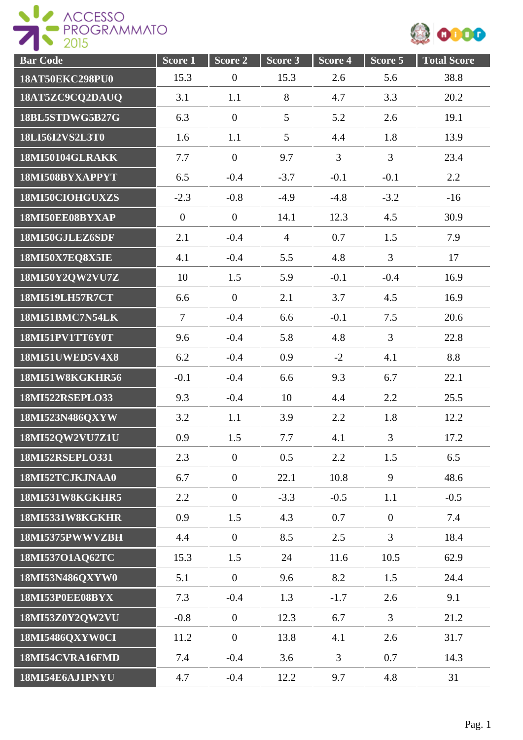



| <b>Bar</b> Code        | $Score\overline{1}$ | Score 2          | Score 3         | Score 4        | Score 5        | <b>Total Score</b> |
|------------------------|---------------------|------------------|-----------------|----------------|----------------|--------------------|
| 18AT50EKC298PU0        | 15.3                | $\boldsymbol{0}$ | 15.3            | 2.6            | 5.6            | 38.8               |
| 18AT5ZC9CQ2DAUQ        | 3.1                 | 1.1              | 8               | 4.7            | 3.3            | 20.2               |
| 18BL5STDWG5B27G        | 6.3                 | $\boldsymbol{0}$ | 5               | 5.2            | 2.6            | 19.1               |
| 18LI56I2VS2L3T0        | 1.6                 | 1.1              | $5\overline{)}$ | 4.4            | 1.8            | 13.9               |
| <b>18MI50104GLRAKK</b> | 7.7                 | $\overline{0}$   | 9.7             | $\overline{3}$ | $\overline{3}$ | 23.4               |
| 18MI508BYXAPPYT        | 6.5                 | $-0.4$           | $-3.7$          | $-0.1$         | $-0.1$         | 2.2                |
| 18MI50CIOHGUXZS        | $-2.3$              | $-0.8$           | $-4.9$          | $-4.8$         | $-3.2$         | $-16$              |
| 18MI50EE08BYXAP        | $\boldsymbol{0}$    | $\mathbf{0}$     | 14.1            | 12.3           | 4.5            | 30.9               |
| 18MI50GJLEZ6SDF        | 2.1                 | $-0.4$           | $\overline{4}$  | 0.7            | 1.5            | 7.9                |
| 18MI50X7EQ8X5IE        | 4.1                 | $-0.4$           | 5.5             | 4.8            | $\overline{3}$ | 17                 |
| 18MI50Y2QW2VU7Z        | 10                  | 1.5              | 5.9             | $-0.1$         | $-0.4$         | 16.9               |
| <b>18MI519LH57R7CT</b> | 6.6                 | $\mathbf{0}$     | 2.1             | 3.7            | 4.5            | 16.9               |
| 18MI51BMC7N54LK        | $\overline{7}$      | $-0.4$           | 6.6             | $-0.1$         | 7.5            | 20.6               |
| 18MI51PV1TT6Y0T        | 9.6                 | $-0.4$           | 5.8             | 4.8            | $\overline{3}$ | 22.8               |
| <b>18MI51UWED5V4X8</b> | 6.2                 | $-0.4$           | 0.9             | $-2$           | 4.1            | 8.8                |
| 18MI51W8KGKHR56        | $-0.1$              | $-0.4$           | 6.6             | 9.3            | 6.7            | 22.1               |
| 18MI522RSEPLO33        | 9.3                 | $-0.4$           | 10              | 4.4            | 2.2            | 25.5               |
| 18MI523N486QXYW        | 3.2                 | 1.1              | 3.9             | 2.2            | 1.8            | 12.2               |
| 18MI52QW2VU7Z1U        | 0.9                 | 1.5              | 7.7             | 4.1            | $\overline{3}$ | 17.2               |
| <b>18MI52RSEPLO331</b> | 2.3                 | $\mathbf{0}$     | 0.5             | 2.2            | 1.5            | 6.5                |
| 18MI52TCJKJNAA0        | 6.7                 | $\mathbf{0}$     | 22.1            | 10.8           | 9              | 48.6               |
| 18MI531W8KGKHR5        | 2.2                 | $\mathbf{0}$     | $-3.3$          | $-0.5$         | 1.1            | $-0.5$             |
| 18MI5331W8KGKHR        | 0.9                 | 1.5              | 4.3             | 0.7            | $\mathbf{0}$   | 7.4                |
| 18MI5375PWWVZBH        | 4.4                 | $\mathbf{0}$     | 8.5             | 2.5            | $\overline{3}$ | 18.4               |
| 18MI537O1AQ62TC        | 15.3                | 1.5              | 24              | 11.6           | 10.5           | 62.9               |
| 18MI53N486QXYW0        | 5.1                 | $\overline{0}$   | 9.6             | 8.2            | 1.5            | 24.4               |
| 18MI53P0EE08BYX        | 7.3                 | $-0.4$           | 1.3             | $-1.7$         | 2.6            | 9.1                |
| 18MI53Z0Y2QW2VU        | $-0.8$              | $\boldsymbol{0}$ | 12.3            | 6.7            | $\overline{3}$ | 21.2               |
| 18MI5486QXYW0CI        | 11.2                | $\boldsymbol{0}$ | 13.8            | 4.1            | 2.6            | 31.7               |
| 18MI54CVRA16FMD        | 7.4                 | $-0.4$           | 3.6             | $\overline{3}$ | 0.7            | 14.3               |
| 18MI54E6AJ1PNYU        | 4.7                 | $-0.4$           | 12.2            | 9.7            | 4.8            | 31                 |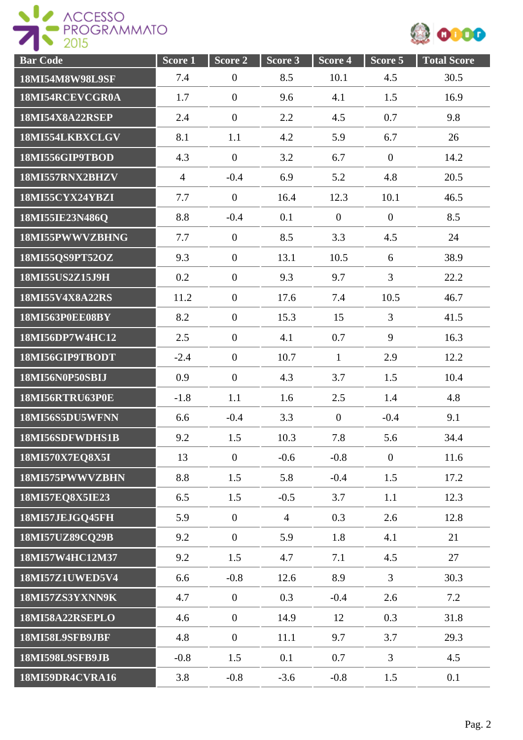



| <b>Bar Code</b>        | Score 1        | Score 2          | Score 3        | Score 4          | Score 5        | <b>Total Score</b> |
|------------------------|----------------|------------------|----------------|------------------|----------------|--------------------|
| 18MI54M8W98L9SF        | 7.4            | $\boldsymbol{0}$ | 8.5            | 10.1             | 4.5            | 30.5               |
| 18MI54RCEVCGR0A        | 1.7            | $\boldsymbol{0}$ | 9.6            | 4.1              | 1.5            | 16.9               |
| 18MI54X8A22RSEP        | 2.4            | $\boldsymbol{0}$ | 2.2            | 4.5              | 0.7            | 9.8                |
| 18MI554LKBXCLGV        | 8.1            | 1.1              | 4.2            | 5.9              | 6.7            | 26                 |
| 18MI556GIP9TBOD        | 4.3            | $\boldsymbol{0}$ | 3.2            | 6.7              | $\mathbf{0}$   | 14.2               |
| 18MI557RNX2BHZV        | $\overline{4}$ | $-0.4$           | 6.9            | 5.2              | 4.8            | 20.5               |
| 18MI55CYX24YBZI        | 7.7            | $\overline{0}$   | 16.4           | 12.3             | 10.1           | 46.5               |
| 18MI55IE23N486Q        | 8.8            | $-0.4$           | 0.1            | $\boldsymbol{0}$ | $\theta$       | 8.5                |
| 18MI55PWWVZBHNG        | 7.7            | $\boldsymbol{0}$ | 8.5            | 3.3              | 4.5            | 24                 |
| 18MI55QS9PT52OZ        | 9.3            | $\boldsymbol{0}$ | 13.1           | 10.5             | 6              | 38.9               |
| 18MI55US2Z15J9H        | 0.2            | $\boldsymbol{0}$ | 9.3            | 9.7              | $\overline{3}$ | 22.2               |
| 18MI55V4X8A22RS        | 11.2           | $\boldsymbol{0}$ | 17.6           | 7.4              | 10.5           | 46.7               |
| 18MI563P0EE08BY        | 8.2            | $\boldsymbol{0}$ | 15.3           | 15               | $\overline{3}$ | 41.5               |
| 18MI56DP7W4HC12        | 2.5            | $\boldsymbol{0}$ | 4.1            | 0.7              | 9              | 16.3               |
| 18MI56GIP9TBODT        | $-2.4$         | $\boldsymbol{0}$ | 10.7           | $\mathbf{1}$     | 2.9            | 12.2               |
| 18MI56N0P50SBIJ        | 0.9            | $\boldsymbol{0}$ | 4.3            | 3.7              | 1.5            | 10.4               |
| 18MI56RTRU63P0E        | $-1.8$         | 1.1              | 1.6            | 2.5              | 1.4            | 4.8                |
| 18MI56S5DU5WFNN        | 6.6            | $-0.4$           | 3.3            | $\overline{0}$   | $-0.4$         | 9.1                |
| 18MI56SDFWDHS1B        | 9.2            | 1.5              | 10.3           | 7.8              | 5.6            | 34.4               |
| 18MI570X7EQ8X5I        | 13             | $\overline{0}$   | $-0.6$         | $-0.8$           | $\overline{0}$ | 11.6               |
| 18MI575PWWVZBHN        | 8.8            | 1.5              | 5.8            | $-0.4$           | 1.5            | 17.2               |
| 18MI57EQ8X5IE23        | 6.5            | 1.5              | $-0.5$         | 3.7              | 1.1            | 12.3               |
| 18MI57JEJGQ45FH        | 5.9            | $\boldsymbol{0}$ | $\overline{4}$ | 0.3              | 2.6            | 12.8               |
| 18MI57UZ89CQ29B        | 9.2            | $\overline{0}$   | 5.9            | 1.8              | 4.1            | 21                 |
| 18MI57W4HC12M37        | 9.2            | 1.5              | 4.7            | 7.1              | 4.5            | 27                 |
| 18MI57Z1UWED5V4        | 6.6            | $-0.8$           | 12.6           | 8.9              | $\overline{3}$ | 30.3               |
| 18MI57ZS3YXNN9K        | 4.7            | $\overline{0}$   | 0.3            | $-0.4$           | 2.6            | 7.2                |
| 18MI58A22RSEPLO        | 4.6            | $\boldsymbol{0}$ | 14.9           | 12               | 0.3            | 31.8               |
| 18MI58L9SFB9JBF        | 4.8            | $\boldsymbol{0}$ | 11.1           | 9.7              | 3.7            | 29.3               |
| <b>18MI598L9SFB9JB</b> | $-0.8$         | 1.5              | 0.1            | 0.7              | $\overline{3}$ | 4.5                |
| 18MI59DR4CVRA16        | 3.8            | $-0.8$           | $-3.6$         | $-0.8$           | 1.5            | 0.1                |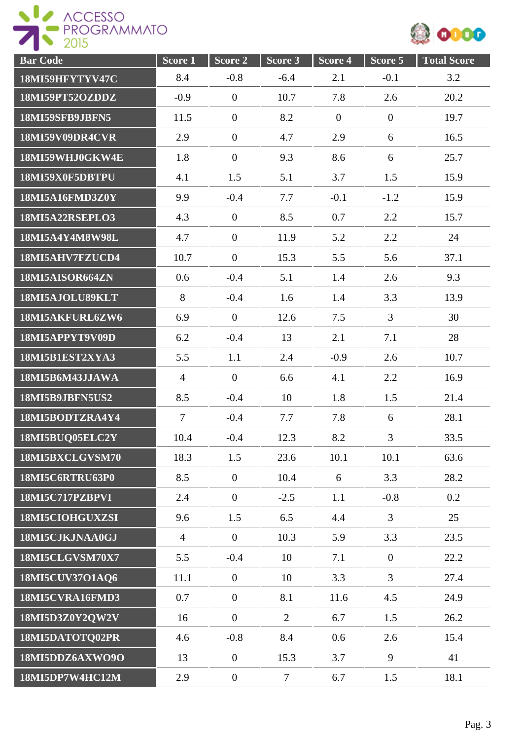



| <b>Bar Code</b> | Score <sub>1</sub> | Score 2          | Score 3        | Score <sub>4</sub> | Score 5        | <b>Total Score</b> |
|-----------------|--------------------|------------------|----------------|--------------------|----------------|--------------------|
| 18MI59HFYTYV47C | 8.4                | $-0.8$           | $-6.4$         | 2.1                | $-0.1$         | 3.2                |
| 18MI59PT52OZDDZ | $-0.9$             | $\boldsymbol{0}$ | 10.7           | 7.8                | 2.6            | 20.2               |
| 18MI59SFB9JBFN5 | 11.5               | $\boldsymbol{0}$ | 8.2            | $\mathbf{0}$       | $\overline{0}$ | 19.7               |
| 18MI59V09DR4CVR | 2.9                | $\boldsymbol{0}$ | 4.7            | 2.9                | 6              | 16.5               |
| 18MI59WHJ0GKW4E | 1.8                | $\boldsymbol{0}$ | 9.3            | 8.6                | 6              | 25.7               |
| 18MI59X0F5DBTPU | 4.1                | 1.5              | 5.1            | 3.7                | 1.5            | 15.9               |
| 18MI5A16FMD3Z0Y | 9.9                | $-0.4$           | 7.7            | $-0.1$             | $-1.2$         | 15.9               |
| 18MI5A22RSEPLO3 | 4.3                | $\boldsymbol{0}$ | 8.5            | 0.7                | 2.2            | 15.7               |
| 18MI5A4Y4M8W98L | 4.7                | $\boldsymbol{0}$ | 11.9           | 5.2                | 2.2            | 24                 |
| 18MI5AHV7FZUCD4 | 10.7               | $\boldsymbol{0}$ | 15.3           | 5.5                | 5.6            | 37.1               |
| 18MI5AISOR664ZN | 0.6                | $-0.4$           | 5.1            | 1.4                | 2.6            | 9.3                |
| 18MI5AJOLU89KLT | 8                  | $-0.4$           | 1.6            | 1.4                | 3.3            | 13.9               |
| 18MI5AKFURL6ZW6 | 6.9                | $\overline{0}$   | 12.6           | 7.5                | $\overline{3}$ | 30                 |
| 18MI5APPYT9V09D | 6.2                | $-0.4$           | 13             | 2.1                | 7.1            | 28                 |
| 18MI5B1EST2XYA3 | 5.5                | 1.1              | 2.4            | $-0.9$             | 2.6            | 10.7               |
| 18MI5B6M43JJAWA | $\overline{4}$     | $\theta$         | 6.6            | 4.1                | 2.2            | 16.9               |
| 18MI5B9JBFN5US2 | 8.5                | $-0.4$           | 10             | 1.8                | 1.5            | 21.4               |
| 18MI5BODTZRA4Y4 | $\overline{7}$     | $-0.4$           | 7.7            | 7.8                | 6              | 28.1               |
| 18MI5BUQ05ELC2Y | 10.4               | $-0.4$           | 12.3           | 8.2                | 3              | 33.5               |
| 18MI5BXCLGVSM70 | 18.3               | 1.5              | 23.6           | 10.1               | 10.1           | 63.6               |
| 18MI5C6RTRU63P0 | 8.5                | $\boldsymbol{0}$ | 10.4           | 6                  | 3.3            | 28.2               |
| 18MI5C717PZBPVI | 2.4                | $\boldsymbol{0}$ | $-2.5$         | 1.1                | $-0.8$         | 0.2                |
| 18MI5CIOHGUXZSI | 9.6                | 1.5              | 6.5            | 4.4                | $\overline{3}$ | 25                 |
| 18MI5CJKJNAA0GJ | $\overline{4}$     | $\boldsymbol{0}$ | 10.3           | 5.9                | 3.3            | 23.5               |
| 18MI5CLGVSM70X7 | 5.5                | $-0.4$           | 10             | 7.1                | $\overline{0}$ | 22.2               |
| 18MI5CUV37O1AQ6 | 11.1               | $\boldsymbol{0}$ | 10             | 3.3                | $\overline{3}$ | 27.4               |
| 18MI5CVRA16FMD3 | 0.7                | $\boldsymbol{0}$ | 8.1            | 11.6               | 4.5            | 24.9               |
| 18MI5D3Z0Y2QW2V | 16                 | $\boldsymbol{0}$ | $\overline{2}$ | 6.7                | 1.5            | 26.2               |
| 18MI5DATOTQ02PR | 4.6                | $-0.8$           | 8.4            | 0.6                | 2.6            | 15.4               |
| 18MI5DDZ6AXWO9O | 13                 | $\boldsymbol{0}$ | 15.3           | 3.7                | 9              | 41                 |
| 18MI5DP7W4HC12M | 2.9                | $\boldsymbol{0}$ | $\tau$         | 6.7                | 1.5            | 18.1               |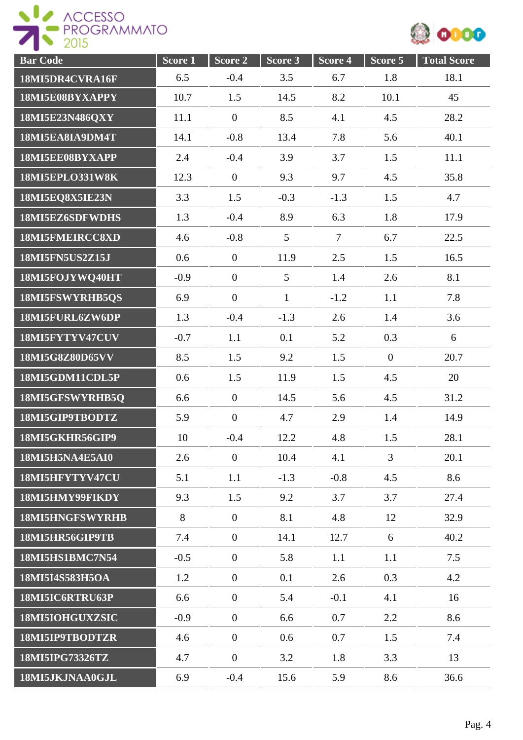



| <b>Bar Code</b>        | Score 1 | $Score$ 2        | Score 3      | Score 4 | Score 5        | <b>Total Score</b> |
|------------------------|---------|------------------|--------------|---------|----------------|--------------------|
| 18MI5DR4CVRA16F        | 6.5     | $-0.4$           | 3.5          | 6.7     | 1.8            | 18.1               |
| 18MI5E08BYXAPPY        | 10.7    | 1.5              | 14.5         | 8.2     | 10.1           | 45                 |
| 18MI5E23N486QXY        | 11.1    | $\boldsymbol{0}$ | 8.5          | 4.1     | 4.5            | 28.2               |
| 18MI5EA8IA9DM4T        | 14.1    | $-0.8$           | 13.4         | 7.8     | 5.6            | 40.1               |
| 18MI5EE08BYXAPP        | 2.4     | $-0.4$           | 3.9          | 3.7     | 1.5            | 11.1               |
| <b>18MI5EPLO331W8K</b> | 12.3    | $\mathbf{0}$     | 9.3          | 9.7     | 4.5            | 35.8               |
| 18MI5EQ8X5IE23N        | 3.3     | 1.5              | $-0.3$       | $-1.3$  | 1.5            | 4.7                |
| 18MI5EZ6SDFWDHS        | 1.3     | $-0.4$           | 8.9          | 6.3     | 1.8            | 17.9               |
| 18MI5FMEIRCC8XD        | 4.6     | $-0.8$           | 5            | $\tau$  | 6.7            | 22.5               |
| 18MI5FN5US2Z15J        | 0.6     | $\boldsymbol{0}$ | 11.9         | 2.5     | 1.5            | 16.5               |
| 18MI5FOJYWQ40HT        | $-0.9$  | $\boldsymbol{0}$ | 5            | 1.4     | 2.6            | 8.1                |
| 18MI5FSWYRHB5QS        | 6.9     | $\overline{0}$   | $\mathbf{1}$ | $-1.2$  | 1.1            | 7.8                |
| 18MI5FURL6ZW6DP        | 1.3     | $-0.4$           | $-1.3$       | 2.6     | 1.4            | 3.6                |
| 18MI5FYTYV47CUV        | $-0.7$  | 1.1              | 0.1          | 5.2     | 0.3            | 6                  |
| 18MI5G8Z80D65VV        | 8.5     | 1.5              | 9.2          | 1.5     | $\mathbf{0}$   | 20.7               |
| 18MI5GDM11CDL5P        | 0.6     | 1.5              | 11.9         | 1.5     | 4.5            | 20                 |
| 18MI5GFSWYRHB5Q        | 6.6     | $\boldsymbol{0}$ | 14.5         | 5.6     | 4.5            | 31.2               |
| 18MI5GIP9TBODTZ        | 5.9     | $\boldsymbol{0}$ | 4.7          | 2.9     | 1.4            | 14.9               |
| 18MI5GKHR56GIP9        | 10      | $-0.4$           | 12.2         | 4.8     | 1.5            | 28.1               |
| 18MI5H5NA4E5AI0        | 2.6     | $\boldsymbol{0}$ | 10.4         | 4.1     | $\overline{3}$ | 20.1               |
| 18MI5HFYTYV47CU        | 5.1     | 1.1              | $-1.3$       | $-0.8$  | 4.5            | 8.6                |
| 18MI5HMY99FIKDY        | 9.3     | 1.5              | 9.2          | 3.7     | 3.7            | 27.4               |
| 18MI5HNGFSWYRHB        | 8       | $\boldsymbol{0}$ | 8.1          | 4.8     | 12             | 32.9               |
| 18MI5HR56GIP9TB        | 7.4     | $\overline{0}$   | 14.1         | 12.7    | 6              | 40.2               |
| <b>18MI5HS1BMC7N54</b> | $-0.5$  | $\mathbf{0}$     | 5.8          | 1.1     | 1.1            | 7.5                |
| 18MI5I4S583H5OA        | 1.2     | $\overline{0}$   | 0.1          | 2.6     | 0.3            | 4.2                |
| 18MI5IC6RTRU63P        | 6.6     | $\boldsymbol{0}$ | 5.4          | $-0.1$  | 4.1            | 16                 |
| 18MI5IOHGUXZSIC        | $-0.9$  | $\boldsymbol{0}$ | 6.6          | 0.7     | 2.2            | 8.6                |
| 18MI5IP9TBODTZR        | 4.6     | $\boldsymbol{0}$ | 0.6          | 0.7     | 1.5            | 7.4                |
| 18MI5IPG73326TZ        | 4.7     | $\boldsymbol{0}$ | 3.2          | 1.8     | 3.3            | 13                 |
| 18MI5JKJNAA0GJL        | 6.9     | $-0.4$           | 15.6         | 5.9     | 8.6            | 36.6               |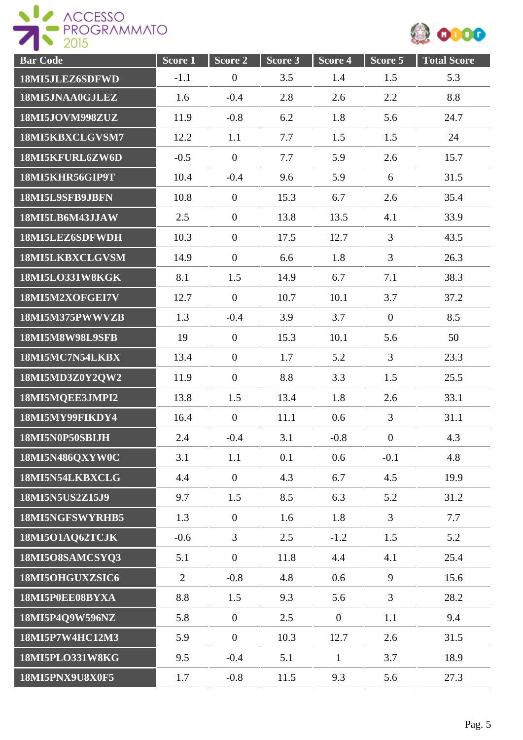



| <b>Bar</b> Code        | Score <sub>1</sub> | Score 2          | Score 3 | Score <sub>4</sub> | Score 5        | <b>Total Score</b> |
|------------------------|--------------------|------------------|---------|--------------------|----------------|--------------------|
| 18MI5JLEZ6SDFWD        | $-1.1$             | $\boldsymbol{0}$ | 3.5     | 1.4                | 1.5            | 5.3                |
| 18MI5JNAA0GJLEZ        | 1.6                | $-0.4$           | 2.8     | 2.6                | 2.2            | 8.8                |
| 18MI5JOVM998ZUZ        | 11.9               | $-0.8$           | 6.2     | 1.8                | 5.6            | 24.7               |
| 18MI5KBXCLGVSM7        | 12.2               | 1.1              | 7.7     | 1.5                | 1.5            | 24                 |
| 18MI5KFURL6ZW6D        | $-0.5$             | $\overline{0}$   | 7.7     | 5.9                | 2.6            | 15.7               |
| 18MI5KHR56GIP9T        | 10.4               | $-0.4$           | 9.6     | 5.9                | 6              | 31.5               |
| 18MI5L9SFB9JBFN        | 10.8               | $\boldsymbol{0}$ | 15.3    | 6.7                | 2.6            | 35.4               |
| 18MI5LB6M43JJAW        | 2.5                | $\boldsymbol{0}$ | 13.8    | 13.5               | 4.1            | 33.9               |
| 18MI5LEZ6SDFWDH        | 10.3               | $\boldsymbol{0}$ | 17.5    | 12.7               | 3              | 43.5               |
| 18MI5LKBXCLGVSM        | 14.9               | $\boldsymbol{0}$ | 6.6     | 1.8                | $\overline{3}$ | 26.3               |
| <b>18MI5LO331W8KGK</b> | 8.1                | 1.5              | 14.9    | 6.7                | 7.1            | 38.3               |
| 18MI5M2XOFGEI7V        | 12.7               | $\boldsymbol{0}$ | 10.7    | 10.1               | 3.7            | 37.2               |
| 18MI5M375PWWVZB        | 1.3                | $-0.4$           | 3.9     | 3.7                | $\mathbf{0}$   | 8.5                |
| 18MI5M8W98L9SFB        | 19                 | $\boldsymbol{0}$ | 15.3    | 10.1               | 5.6            | 50                 |
| 18MI5MC7N54LKBX        | 13.4               | $\overline{0}$   | 1.7     | 5.2                | $\mathfrak{Z}$ | 23.3               |
| 18MI5MD3Z0Y2QW2        | 11.9               | $\boldsymbol{0}$ | 8.8     | 3.3                | 1.5            | 25.5               |
| 18MI5MQEE3JMPI2        | 13.8               | 1.5              | 13.4    | 1.8                | 2.6            | 33.1               |
| 18MI5MY99FIKDY4        | 16.4               | $\overline{0}$   | 11.1    | 0.6                | $\overline{3}$ | 31.1               |
| 18MI5N0P50SBIJH        | 2.4                | $-0.4$           | 3.1     | $-0.8$             | $\mathbf{0}$   | 4.3                |
| 18MI5N486QXYW0C        | 3.1                | 1.1              | 0.1     | 0.6                | $-0.1$         | 4.8                |
| 18MI5N54LKBXCLG        | 4.4                | $\overline{0}$   | 4.3     | 6.7                | 4.5            | 19.9               |
| 18MI5N5US2Z15J9        | 9.7                | 1.5              | 8.5     | 6.3                | 5.2            | 31.2               |
| 18MI5NGFSWYRHB5        | 1.3                | $\mathbf{0}$     | 1.6     | 1.8                | $\overline{3}$ | 7.7                |
| 18MI5O1AQ62TCJK        | $-0.6$             | $\overline{3}$   | 2.5     | $-1.2$             | 1.5            | 5.2                |
| 18MI5O8SAMCSYQ3        | 5.1                | $\boldsymbol{0}$ | 11.8    | 4.4                | 4.1            | 25.4               |
| 18MI5OHGUXZSIC6        | $\overline{2}$     | $-0.8$           | 4.8     | 0.6                | 9              | 15.6               |
| 18MI5P0EE08BYXA        | 8.8                | 1.5              | 9.3     | 5.6                | $\overline{3}$ | 28.2               |
| 18MI5P4Q9W596NZ        | 5.8                | $\boldsymbol{0}$ | 2.5     | $\boldsymbol{0}$   | 1.1            | 9.4                |
| 18MI5P7W4HC12M3        | 5.9                | $\boldsymbol{0}$ | 10.3    | 12.7               | 2.6            | 31.5               |
| 18MI5PLO331W8KG        | 9.5                | $-0.4$           | 5.1     | $\mathbf{1}$       | 3.7            | 18.9               |
| 18MI5PNX9U8X0F5        | 1.7                | $-0.8$           | 11.5    | 9.3                | 5.6            | 27.3               |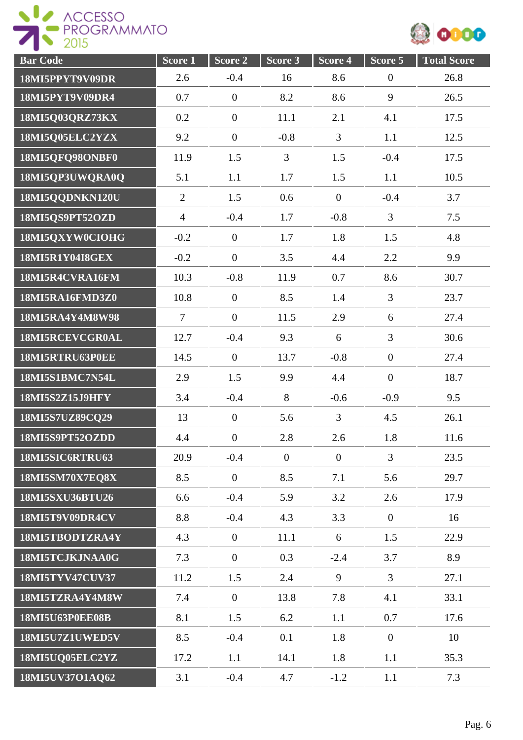



| <b>Bar Code</b>        | S <sub>core</sub> 1 | Score 2          | Score 3        | Score 4        | Score 5        | <b>Total Score</b> |
|------------------------|---------------------|------------------|----------------|----------------|----------------|--------------------|
| 18MI5PPYT9V09DR        | 2.6                 | $-0.4$           | 16             | 8.6            | $\overline{0}$ | 26.8               |
| 18MI5PYT9V09DR4        | 0.7                 | $\boldsymbol{0}$ | 8.2            | 8.6            | 9              | 26.5               |
| 18MI5Q03QRZ73KX        | 0.2                 | $\boldsymbol{0}$ | 11.1           | 2.1            | 4.1            | 17.5               |
| 18MI5Q05ELC2YZX        | 9.2                 | $\boldsymbol{0}$ | $-0.8$         | $\overline{3}$ | 1.1            | 12.5               |
| 18MI5QFQ98ONBF0        | 11.9                | 1.5              | 3              | 1.5            | $-0.4$         | 17.5               |
| 18MI5QP3UWQRA0Q        | 5.1                 | 1.1              | 1.7            | 1.5            | 1.1            | 10.5               |
| 18MI5QQDNKN120U        | $\overline{2}$      | 1.5              | 0.6            | $\overline{0}$ | $-0.4$         | 3.7                |
| 18MI5QS9PT52OZD        | $\overline{4}$      | $-0.4$           | 1.7            | $-0.8$         | $\overline{3}$ | 7.5                |
| 18MI5QXYW0CIOHG        | $-0.2$              | $\boldsymbol{0}$ | 1.7            | 1.8            | 1.5            | 4.8                |
| 18MI5R1Y04I8GEX        | $-0.2$              | $\boldsymbol{0}$ | 3.5            | 4.4            | 2.2            | 9.9                |
| 18MI5R4CVRA16FM        | 10.3                | $-0.8$           | 11.9           | 0.7            | 8.6            | 30.7               |
| 18MI5RA16FMD3Z0        | 10.8                | $\boldsymbol{0}$ | 8.5            | 1.4            | $\overline{3}$ | 23.7               |
| 18MI5RA4Y4M8W98        | $\overline{7}$      | $\boldsymbol{0}$ | 11.5           | 2.9            | 6              | 27.4               |
| 18MI5RCEVCGR0AL        | 12.7                | $-0.4$           | 9.3            | 6              | $\overline{3}$ | 30.6               |
| 18MI5RTRU63P0EE        | 14.5                | $\boldsymbol{0}$ | 13.7           | $-0.8$         | $\mathbf{0}$   | 27.4               |
| 18MI5S1BMC7N54L        | 2.9                 | 1.5              | 9.9            | 4.4            | $\mathbf{0}$   | 18.7               |
| 18MI5S2Z15J9HFY        | 3.4                 | $-0.4$           | 8              | $-0.6$         | $-0.9$         | 9.5                |
| 18MI5S7UZ89CQ29        | 13                  | $\boldsymbol{0}$ | 5.6            | $\overline{3}$ | 4.5            | 26.1               |
| 18MI5S9PT52OZDD        | 4.4                 | $\boldsymbol{0}$ | 2.8            | 2.6            | 1.8            | 11.6               |
| 18MI5SIC6RTRU63        | 20.9                | $-0.4$           | $\overline{0}$ | $\overline{0}$ | 3              | 23.5               |
| 18MI5SM70X7EQ8X        | 8.5                 | $\overline{0}$   | 8.5            | 7.1            | 5.6            | 29.7               |
| 18MI5SXU36BTU26        | 6.6                 | $-0.4$           | 5.9            | 3.2            | 2.6            | 17.9               |
| 18MI5T9V09DR4CV        | 8.8                 | $-0.4$           | 4.3            | 3.3            | $\overline{0}$ | 16                 |
| 18MI5TBODTZRA4Y        | 4.3                 | $\overline{0}$   | 11.1           | 6              | 1.5            | 22.9               |
| 18MI5TCJKJNAA0G        | 7.3                 | $\overline{0}$   | 0.3            | $-2.4$         | 3.7            | 8.9                |
| <b>18MI5TYV47CUV37</b> | 11.2                | 1.5              | 2.4            | 9              | $\overline{3}$ | 27.1               |
| 18MI5TZRA4Y4M8W        | 7.4                 | $\boldsymbol{0}$ | 13.8           | 7.8            | 4.1            | 33.1               |
| <b>18MI5U63P0EE08B</b> | 8.1                 | 1.5              | 6.2            | 1.1            | 0.7            | 17.6               |
| 18MI5U7Z1UWED5V        | 8.5                 | $-0.4$           | 0.1            | 1.8            | $\mathbf{0}$   | 10                 |
| 18MI5UQ05ELC2YZ        | 17.2                | 1.1              | 14.1           | 1.8            | 1.1            | 35.3               |
| 18MI5UV37O1AQ62        | 3.1                 | $-0.4$           | 4.7            | $-1.2$         | 1.1            | 7.3                |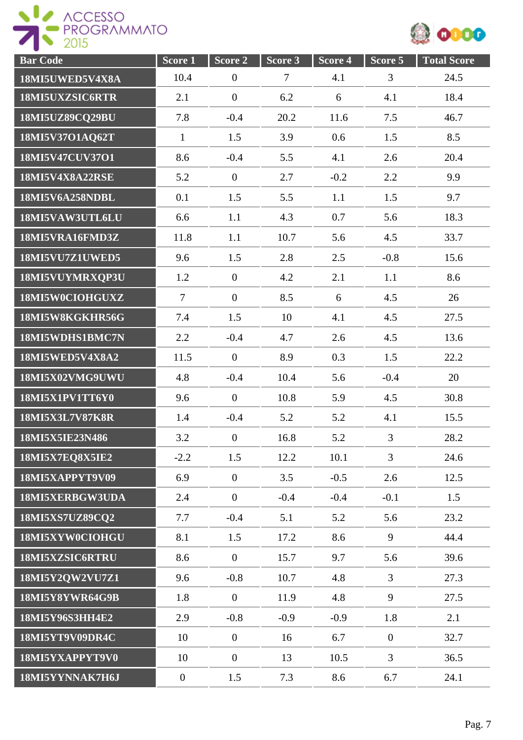



| <b>Bar Code</b>        | Score 1          | Score 2          | Score 3 | Score 4 | Score 5        | <b>Total Score</b> |
|------------------------|------------------|------------------|---------|---------|----------------|--------------------|
| 18MI5UWED5V4X8A        | 10.4             | $\boldsymbol{0}$ | $\tau$  | 4.1     | 3              | 24.5               |
| 18MI5UXZSIC6RTR        | 2.1              | $\boldsymbol{0}$ | 6.2     | 6       | 4.1            | 18.4               |
| 18MI5UZ89CQ29BU        | 7.8              | $-0.4$           | 20.2    | 11.6    | 7.5            | 46.7               |
| 18MI5V37O1AQ62T        | $\mathbf{1}$     | 1.5              | 3.9     | 0.6     | 1.5            | 8.5                |
| 18MI5V47CUV37O1        | 8.6              | $-0.4$           | 5.5     | 4.1     | 2.6            | 20.4               |
| <b>18MI5V4X8A22RSE</b> | 5.2              | $\mathbf{0}$     | 2.7     | $-0.2$  | 2.2            | 9.9                |
| 18MI5V6A258NDBL        | 0.1              | 1.5              | 5.5     | 1.1     | 1.5            | 9.7                |
| 18MI5VAW3UTL6LU        | 6.6              | 1.1              | 4.3     | 0.7     | 5.6            | 18.3               |
| 18MI5VRA16FMD3Z        | 11.8             | 1.1              | 10.7    | 5.6     | 4.5            | 33.7               |
| 18MI5VU7Z1UWED5        | 9.6              | 1.5              | 2.8     | 2.5     | $-0.8$         | 15.6               |
| 18MI5VUYMRXQP3U        | 1.2              | $\boldsymbol{0}$ | 4.2     | 2.1     | 1.1            | 8.6                |
| 18MI5W0CIOHGUXZ        | $\overline{7}$   | $\overline{0}$   | 8.5     | 6       | 4.5            | 26                 |
| 18MI5W8KGKHR56G        | 7.4              | 1.5              | 10      | 4.1     | 4.5            | 27.5               |
| 18MI5WDHS1BMC7N        | 2.2              | $-0.4$           | 4.7     | 2.6     | 4.5            | 13.6               |
| 18MI5WED5V4X8A2        | 11.5             | $\mathbf{0}$     | 8.9     | 0.3     | 1.5            | 22.2               |
| 18MI5X02VMG9UWU        | 4.8              | $-0.4$           | 10.4    | 5.6     | $-0.4$         | 20                 |
| 18MI5X1PV1TT6Y0        | 9.6              | $\mathbf{0}$     | 10.8    | 5.9     | 4.5            | 30.8               |
| <b>18MI5X3L7V87K8R</b> | 1.4              | $-0.4$           | 5.2     | 5.2     | 4.1            | 15.5               |
| 18MI5X5IE23N486        | 3.2              | $\boldsymbol{0}$ | 16.8    | 5.2     | 3              | 28.2               |
| <b>18MI5X7EQ8X5IE2</b> | $-2.2$           | 1.5              | 12.2    | 10.1    | $\overline{3}$ | 24.6               |
| 18MI5XAPPYT9V09        | 6.9              | $\overline{0}$   | 3.5     | $-0.5$  | 2.6            | 12.5               |
| 18MI5XERBGW3UDA        | 2.4              | $\overline{0}$   | $-0.4$  | $-0.4$  | $-0.1$         | 1.5                |
| 18MI5XS7UZ89CO2        | 7.7              | $-0.4$           | 5.1     | 5.2     | 5.6            | 23.2               |
| 18MI5XYW0CIOHGU        | 8.1              | 1.5              | 17.2    | 8.6     | 9              | 44.4               |
| 18MI5XZSIC6RTRU        | 8.6              | $\mathbf{0}$     | 15.7    | 9.7     | 5.6            | 39.6               |
| 18MI5Y2QW2VU7Z1        | 9.6              | $-0.8$           | 10.7    | 4.8     | $\overline{3}$ | 27.3               |
| 18MI5Y8YWR64G9B        | 1.8              | $\overline{0}$   | 11.9    | 4.8     | 9              | 27.5               |
| 18MI5Y96S3HH4E2        | 2.9              | $-0.8$           | $-0.9$  | $-0.9$  | 1.8            | 2.1                |
| 18MI5YT9V09DR4C        | 10               | $\mathbf{0}$     | 16      | 6.7     | $\mathbf{0}$   | 32.7               |
| 18MI5YXAPPYT9V0        | 10               | $\boldsymbol{0}$ | 13      | 10.5    | $\overline{3}$ | 36.5               |
| 18MI5YYNNAK7H6J        | $\boldsymbol{0}$ | 1.5              | 7.3     | 8.6     | 6.7            | 24.1               |